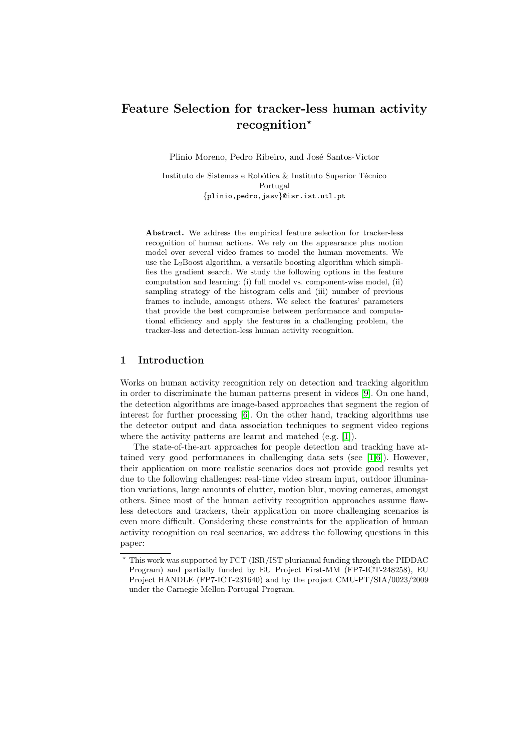# Feature Selection for tracker-less human activity recognition?

Plinio Moreno, Pedro Ribeiro, and José Santos-Victor

Instituto de Sistemas e Robótica & Instituto Superior Técnico Portugal {plinio,pedro,jasv}@isr.ist.utl.pt

Abstract. We address the empirical feature selection for tracker-less recognition of human actions. We rely on the appearance plus motion model over several video frames to model the human movements. We use the  $L_2$ Boost algorithm, a versatile boosting algorithm which simplifies the gradient search. We study the following options in the feature computation and learning: (i) full model vs. component-wise model, (ii) sampling strategy of the histogram cells and (iii) number of previous frames to include, amongst others. We select the features' parameters that provide the best compromise between performance and computational efficiency and apply the features in a challenging problem, the tracker-less and detection-less human activity recognition.

## 1 Introduction

Works on human activity recognition rely on detection and tracking algorithm in order to discriminate the human patterns present in videos [\[9\]](#page-8-0). On one hand, the detection algorithms are image-based approaches that segment the region of interest for further processing [\[6\]](#page-8-1). On the other hand, tracking algorithms use the detector output and data association techniques to segment video regions where the activity patterns are learnt and matched (e.g. [\[1\]](#page-8-2)).

The state-of-the-art approaches for people detection and tracking have attained very good performances in challenging data sets (see  $[1,6]$  $[1,6]$ ). However, their application on more realistic scenarios does not provide good results yet due to the following challenges: real-time video stream input, outdoor illumination variations, large amounts of clutter, motion blur, moving cameras, amongst others. Since most of the human activity recognition approaches assume flawless detectors and trackers, their application on more challenging scenarios is even more difficult. Considering these constraints for the application of human activity recognition on real scenarios, we address the following questions in this paper:

<sup>?</sup> This work was supported by FCT (ISR/IST plurianual funding through the PIDDAC Program) and partially funded by EU Project First-MM (FP7-ICT-248258), EU Project HANDLE (FP7-ICT-231640) and by the project CMU-PT/SIA/0023/2009 under the Carnegie Mellon-Portugal Program.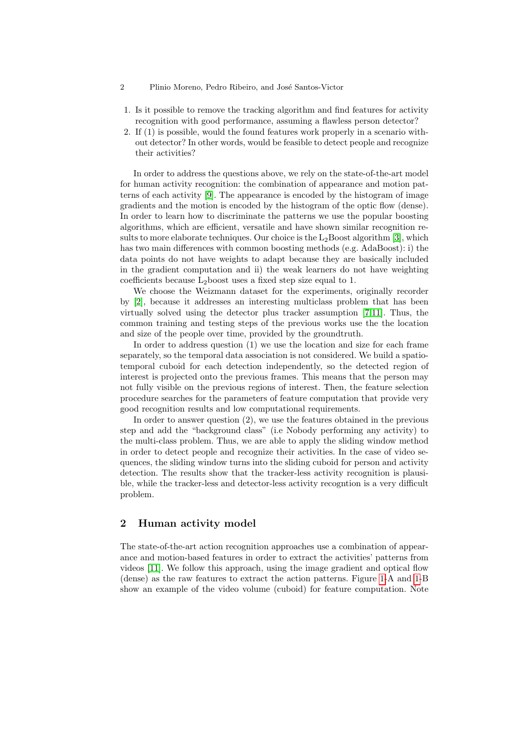- 2 Plinio Moreno, Pedro Ribeiro, and José Santos-Victor
- 1. Is it possible to remove the tracking algorithm and find features for activity recognition with good performance, assuming a flawless person detector?
- 2. If (1) is possible, would the found features work properly in a scenario without detector? In other words, would be feasible to detect people and recognize their activities?

In order to address the questions above, we rely on the state-of-the-art model for human activity recognition: the combination of appearance and motion patterns of each activity [\[9\]](#page-8-0). The appearance is encoded by the histogram of image gradients and the motion is encoded by the histogram of the optic flow (dense). In order to learn how to discriminate the patterns we use the popular boosting algorithms, which are efficient, versatile and have shown similar recognition results to more elaborate techniques. Our choice is the  $L_2$ Boost algorithm [\[3\]](#page-8-3), which has two main differences with common boosting methods (e.g. AdaBoost): i) the data points do not have weights to adapt because they are basically included in the gradient computation and ii) the weak learners do not have weighting coefficients because  $L_2$ boost uses a fixed step size equal to 1.

We choose the Weizmann dataset for the experiments, originally recorder by [\[2\]](#page-8-4), because it addresses an interesting multiclass problem that has been virtually solved using the detector plus tracker assumption [\[7,](#page-8-5)[11\]](#page-8-6). Thus, the common training and testing steps of the previous works use the the location and size of the people over time, provided by the groundtruth.

In order to address question (1) we use the location and size for each frame separately, so the temporal data association is not considered. We build a spatiotemporal cuboid for each detection independently, so the detected region of interest is projected onto the previous frames. This means that the person may not fully visible on the previous regions of interest. Then, the feature selection procedure searches for the parameters of feature computation that provide very good recognition results and low computational requirements.

In order to answer question (2), we use the features obtained in the previous step and add the "background class" (i.e Nobody performing any activity) to the multi-class problem. Thus, we are able to apply the sliding window method in order to detect people and recognize their activities. In the case of video sequences, the sliding window turns into the sliding cuboid for person and activity detection. The results show that the tracker-less activity recognition is plausible, while the tracker-less and detector-less activity recogntion is a very difficult problem.

## 2 Human activity model

The state-of-the-art action recognition approaches use a combination of appearance and motion-based features in order to extract the activities' patterns from videos [\[11\]](#page-8-6). We follow this approach, using the image gradient and optical flow (dense) as the raw features to extract the action patterns. Figure [1-](#page-2-0)A and [1-](#page-2-0)B show an example of the video volume (cuboid) for feature computation. Note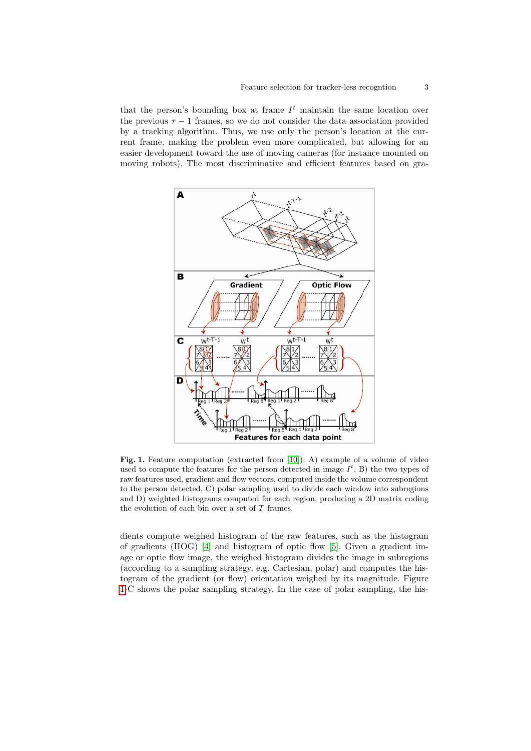that the person's bounding box at frame  $I<sup>t</sup>$  maintain the same location over the previous  $\tau - 1$  frames, so we do not consider the data association provided by a tracking algorithm. Thus, we use only the person's location at the current frame, making the problem even more complicated, but allowing for an easier development toward the use of moving cameras (for instance mounted on moving robots). The most discriminative and efficient features based on gra-



<span id="page-2-0"></span>Fig. 1. Feature computation (extracted from [\[10\]](#page-8-7)): A) example of a volume of video used to compute the features for the person detected in image  $I^t$ , B) the two types of raw features used, gradient and flow vectors, computed inside the volume correspondent to the person detected, C) polar sampling used to divide each window into subregions and D) weighted histograms computed for each region, producing a 2D matrix coding the evolution of each bin over a set of  $T$  frames.

dients compute weighed histogram of the raw features, such as the histogram of gradients (HOG) [\[4\]](#page-8-8) and histogram of optic flow [\[5\]](#page-8-9). Given a gradient image or optic flow image, the weighed histogram divides the image in subregions (according to a sampling strategy, e.g. Cartesian, polar) and computes the histogram of the gradient (or flow) orientation weighed by its magnitude. Figure [1-](#page-2-0)C shows the polar sampling strategy. In the case of polar sampling, the his-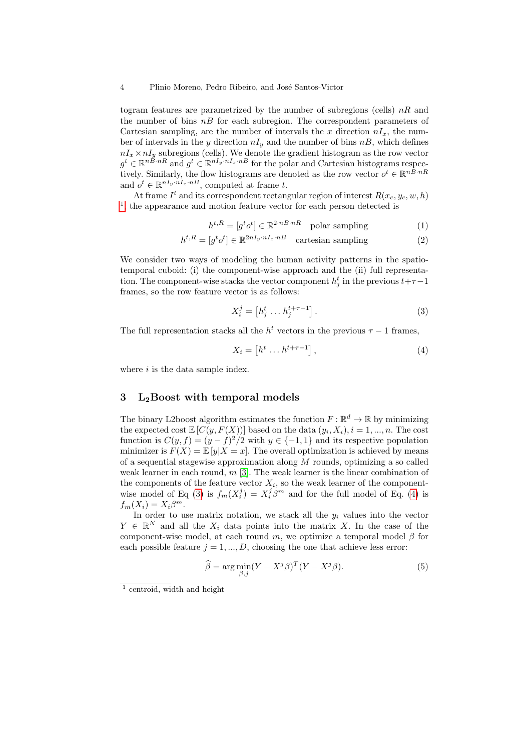#### 4 Plinio Moreno, Pedro Ribeiro, and José Santos-Victor

togram features are parametrized by the number of subregions (cells)  $nR$  and the number of bins  $nB$  for each subregion. The correspondent parameters of Cartesian sampling, are the number of intervals the x direction  $nI_x$ , the number of intervals in the y direction  $nI_y$  and the number of bins  $nB$ , which defines  $nI_x \times nI_y$  subregions (cells). We denote the gradient histogram as the row vector  $g^t \in \mathbb{R}^{n \times nR}$  and  $g^t \in \mathbb{R}^{nI_y \cdot nI_x \cdot nB}$  for the polar and Cartesian histograms respectively. Similarly, the flow histograms are denoted as the row vector  $o^t \in \mathbb{R}^{n\bar{B} \cdot nR}$ and  $o^t \in \mathbb{R}^{nI_y \cdot nI_x \cdot nB}$ , computed at frame t.

At frame  $I^t$  and its correspondent rectangular region of interest  $R(x_c, y_c, w, h)$ <sup>[1](#page-3-0)</sup>, the appearance and motion feature vector for each person detected is

$$
h^{t,R} = [g^t o^t] \in \mathbb{R}^{2 \cdot nR \cdot nR} \quad \text{polar sampling} \tag{1}
$$

$$
h^{t,R} = [g^t o^t] \in \mathbb{R}^{2nI_y \cdot nI_x \cdot nB} \quad \text{cartesian sampling} \tag{2}
$$

We consider two ways of modeling the human activity patterns in the spatiotemporal cuboid: (i) the component-wise approach and the (ii) full representation. The component-wise stacks the vector component  $h_j^t$  in the previous  $t+\tau-1$ frames, so the row feature vector is as follows:

<span id="page-3-1"></span>
$$
X_i^j = \begin{bmatrix} h_j^t \dots h_j^{t+\tau-1} \end{bmatrix} . \tag{3}
$$

The full representation stacks all the  $h^t$  vectors in the previous  $\tau - 1$  frames,

<span id="page-3-2"></span>
$$
X_i = \left[ h^t \dots h^{t+\tau-1} \right],\tag{4}
$$

where  $i$  is the data sample index.

# 3  $L_2$ Boost with temporal models

The binary L2boost algorithm estimates the function  $F: \mathbb{R}^d \to \mathbb{R}$  by minimizing the expected cost  $\mathbb{E}\left[C(y, F(X))\right]$  based on the data  $(y_i, X_i)$ ,  $i = 1, ..., n$ . The cost function is  $C(y, f) = (y - f)^2/2$  with  $y \in \{-1, 1\}$  and its respective population minimizer is  $F(X) = \mathbb{E}[y|X=x]$ . The overall optimization is achieved by means of a sequential stagewise approximation along  $M$  rounds, optimizing a so called weak learner in each round,  $m$  [\[3\]](#page-8-3). The weak learner is the linear combination of the components of the feature vector  $X_i$ , so the weak learner of the component-wise model of Eq [\(3\)](#page-3-1) is  $f_m(X_i^j) = X_i^j \beta^m$  and for the full model of Eq. [\(4\)](#page-3-2) is  $f_m(X_i) = X_i \beta^m$ .

In order to use matrix notation, we stack all the  $y_i$  values into the vector  $Y \in \mathbb{R}^N$  and all the  $X_i$  data points into the matrix X. In the case of the component-wise model, at each round m, we optimize a temporal model  $\beta$  for each possible feature  $j = 1, ..., D$ , choosing the one that achieve less error:

<span id="page-3-3"></span>
$$
\widehat{\beta} = \arg \min_{\beta, j} (Y - X^j \beta)^T (Y - X^j \beta). \tag{5}
$$

<span id="page-3-0"></span><sup>&</sup>lt;sup>1</sup> centroid, width and height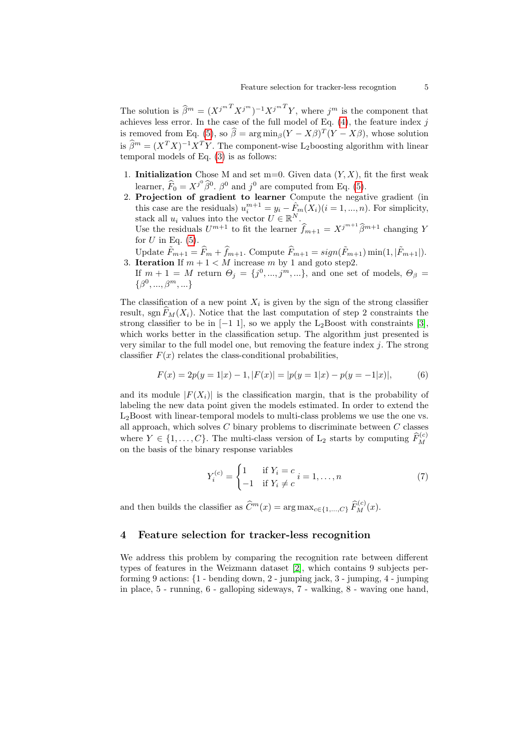The solution is  $\widehat{\beta}^m = (X^{j^m} X^{j^m})^{-1} X^{j^m} Y$ , where  $j^m$  is the component that achieves less error. In the case of the full model of Eq.  $(4)$ , the feature index j is removed from Eq. [\(5\)](#page-3-3), so  $\hat{\beta} = \arg \min_{\beta} (Y - X\beta)^T (Y - X\beta)$ , whose solution is  $\widehat{\beta}^m = (X^T X)^{-1} X^T Y$ . The component-wise L<sub>2</sub>boosting algorithm with linear temporal models of Eq. [\(3\)](#page-3-1) is as follows:

- 1. **Initialization** Chose M and set m=0. Given data  $(Y, X)$ , fit the first weak learner,  $\widehat{F}_0 = X^{j^0} \widehat{\beta}^0$ .  $\widehat{\beta}^0$  and  $j^0$  are computed from Eq. [\(5\)](#page-3-3).
- 2. Projection of gradient to learner Compute the negative gradient (in this case are the residuals)  $u_i^{m+1} = y_i - \hat{F}_m(X_i) (i = 1, ..., n)$ . For simplicity, stack all  $u_i$  values into the vector  $U \in \mathbb{R}^N$ . Use the residuals  $U^{m+1}$  to fit the learner  $\widehat{f}_{m+1} = X^{j^{m+1}} \widehat{\beta}^{m+1}$  changing Y

for  $U$  in Eq.  $(5)$ .

Update  $\tilde{F}_{m+1} = \hat{F}_m + \hat{f}_{m+1}$ . Compute  $\hat{F}_{m+1} = sign(\tilde{F}_{m+1}) \min(1, |\tilde{F}_{m+1}|)$ .<br>3. **Iteration** If  $m + 1 < M$  increase m by 1 and goto step2.

If  $m + 1 = M$  return  $\Theta_j = \{j^0, ..., j^m, ...\}$ , and one set of models,  $\Theta_\beta =$  $\{\beta^0, ..., \beta^m, ...\}$ 

The classification of a new point  $X_i$  is given by the sign of the strong classifier result, sgn  $F_M(X_i)$ . Notice that the last computation of step 2 constraints the strong classifier to be in  $[-1, 1]$ , so we apply the L<sub>2</sub>Boost with constraints [\[3\]](#page-8-3), which works better in the classification setup. The algorithm just presented is very similar to the full model one, but removing the feature index  $j$ . The strong classifier  $F(x)$  relates the class-conditional probabilities,

$$
F(x) = 2p(y = 1|x) - 1, |F(x)| = |p(y = 1|x) - p(y = -1|x)|,
$$
 (6)

and its module  $|F(X_i)|$  is the classification margin, that is the probability of labeling the new data point given the models estimated. In order to extend the L2Boost with linear-temporal models to multi-class problems we use the one vs. all approach, which solves  $C$  binary problems to discriminate between  $C$  classes where  $Y \in \{1, \ldots, C\}$ . The multi-class version of  $L_2$  starts by computing  $\widehat{F}_M^{(c)}$ on the basis of the binary response variables

$$
Y_i^{(c)} = \begin{cases} 1 & \text{if } Y_i = c \\ -1 & \text{if } Y_i \neq c \end{cases} i = 1, ..., n
$$
 (7)

and then builds the classifier as  $\hat{C}^m(x) = \arg \max_{c \in \{1, ..., C\}} \hat{F}_M^{(c)}(x)$ .

### 4 Feature selection for tracker-less recognition

We address this problem by comparing the recognition rate between different types of features in the Weizmann dataset [\[2\]](#page-8-4), which contains 9 subjects performing 9 actions: {1 - bending down, 2 - jumping jack, 3 - jumping, 4 - jumping in place, 5 - running, 6 - galloping sideways, 7 - walking, 8 - waving one hand,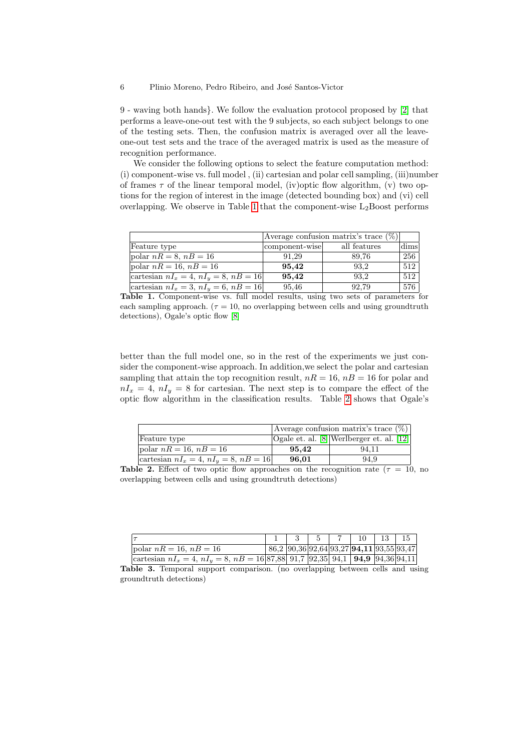#### 6 Plinio Moreno, Pedro Ribeiro, and José Santos-Victor

9 - waving both hands}. We follow the evaluation protocol proposed by [\[2\]](#page-8-4) that performs a leave-one-out test with the 9 subjects, so each subject belongs to one of the testing sets. Then, the confusion matrix is averaged over all the leaveone-out test sets and the trace of the averaged matrix is used as the measure of recognition performance.

We consider the following options to select the feature computation method: (i) component-wise vs. full model , (ii) cartesian and polar cell sampling, (iii)number of frames  $\tau$  of the linear temporal model, (iv)optic flow algorithm, (v) two options for the region of interest in the image (detected bounding box) and (vi) cell overlapping. We observe in Table [1](#page-5-0) that the component-wise  $L_2$ Boost performs

|                                               | Average confusion matrix's trace $(\%)$ |              |      |
|-----------------------------------------------|-----------------------------------------|--------------|------|
| Feature type                                  | component-wise                          | all features | dims |
| polar $nR = 8$ , $nB = 16$                    | 91.29                                   | 89.76        | 256  |
| polar $nR = 16$ , $nB = 16$                   | 95,42                                   | 93,2         | 512  |
| cartesian $nI_x = 4$ , $nI_y = 8$ , $nB = 16$ | 95.42                                   | 93.2         | 512  |
| cartesian $nI_x = 3$ , $nI_y = 6$ , $nB = 16$ | 95.46                                   | 92.79        | 576  |

<span id="page-5-0"></span>Table 1. Component-wise vs. full model results, using two sets of parameters for each sampling approach. ( $\tau = 10$ , no overlapping between cells and using groundtruth detections), Ogale's optic flow [\[8\]](#page-8-10)

better than the full model one, so in the rest of the experiments we just consider the component-wise approach. In addition,we select the polar and cartesian sampling that attain the top recognition result,  $nR = 16$ ,  $n = 16$  for polar and  $nI_x = 4$ ,  $nI_y = 8$  for cartesian. The next step is to compare the effect of the optic flow algorithm in the classification results. Table [2](#page-5-1) shows that Ogale's

|                                               | Average confusion matrix's trace $(\%)$ |                                              |  |
|-----------------------------------------------|-----------------------------------------|----------------------------------------------|--|
| Feature type                                  |                                         | $O$ gale et. al. [8] Werlberger et. al. [12] |  |
| polar $nR = 16$ , $nB = 16$                   | 95.42                                   | 94.11                                        |  |
| cartesian $nI_x = 4$ , $nI_y = 8$ , $nB = 16$ | 96,01                                   | 94.9                                         |  |

<span id="page-5-1"></span>Table 2. Effect of two optic flow approaches on the recognition rate ( $\tau = 10$ , no overlapping between cells and using groundtruth detections)

|                                                                                              |  |  | $1 \mid 3 \mid 5 \mid 7 \mid 10 \mid 13 \mid 15$ |  |
|----------------------------------------------------------------------------------------------|--|--|--------------------------------------------------|--|
| polar $nR = 16$ , $nB = 16$                                                                  |  |  | $ 86,2 90,36 92,64 93,27 94,11 93,55 93,47 $     |  |
| cartesian $nI_x = 4$ , $nI_y = 8$ , $nB = 16 87,88 $ 91,7 92,35 94,1 <b>94,9</b> 94,36 94,11 |  |  |                                                  |  |

<span id="page-5-2"></span>Table 3. Temporal support comparison. (no overlapping between cells and using groundtruth detections)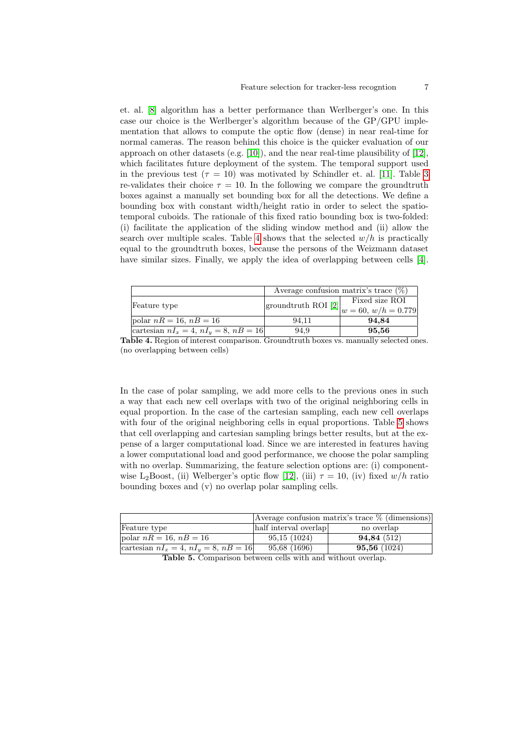et. al. [\[8\]](#page-8-10) algorithm has a better performance than Werlberger's one. In this case our choice is the Werlberger's algorithm because of the GP/GPU implementation that allows to compute the optic flow (dense) in near real-time for normal cameras. The reason behind this choice is the quicker evaluation of our approach on other datasets (e.g.  $[10]$ ), and the near real-time plausibility of  $[12]$ , which facilitates future deployment of the system. The temporal support used in the previous test ( $\tau = 10$ ) was motivated by Schindler et. al. [\[11\]](#page-8-6). Table [3](#page-5-2) re-validates their choice  $\tau = 10$ . In the following we compare the groundtruth boxes against a manually set bounding box for all the detections. We define a bounding box with constant width/height ratio in order to select the spatiotemporal cuboids. The rationale of this fixed ratio bounding box is two-folded: (i) facilitate the application of the sliding window method and (ii) allow the search over multiple scales. Table [4](#page-6-0) shows that the selected  $w/h$  is practically equal to the groundtruth boxes, because the persons of the Weizmann dataset have similar sizes. Finally, we apply the idea of overlapping between cells [\[4\]](#page-8-8).

|                                               | Average confusion matrix's trace $(\%)$ |                                                                            |  |
|-----------------------------------------------|-----------------------------------------|----------------------------------------------------------------------------|--|
| Feature type                                  |                                         | Fixed size ROI<br> groundtruth ROI [2] $ w = 60, w/h = 0.779$ <sup> </sup> |  |
| polar $nR = 16$ , $nB = 16$                   | 94.11                                   | 94,84                                                                      |  |
| cartesian $nI_x = 4$ , $nI_y = 8$ , $nB = 16$ | 94.9                                    | 95,56                                                                      |  |

<span id="page-6-0"></span>Table 4. Region of interest comparison. Groundtruth boxes vs. manually selected ones. (no overlapping between cells)

In the case of polar sampling, we add more cells to the previous ones in such a way that each new cell overlaps with two of the original neighboring cells in equal proportion. In the case of the cartesian sampling, each new cell overlaps with four of the original neighboring cells in equal proportions. Table [5](#page-6-1) shows that cell overlapping and cartesian sampling brings better results, but at the expense of a larger computational load. Since we are interested in features having a lower computational load and good performance, we choose the polar sampling with no overlap. Summarizing, the feature selection options are: (i) component-wise L<sub>2</sub>Boost, (ii) Welberger's optic flow [\[12\]](#page-8-11), (iii)  $\tau = 10$ , (iv) fixed w/h ratio bounding boxes and (v) no overlap polar sampling cells.

|                                               | Average confusion matrix's trace $\%$ (dimensions) |             |  |
|-----------------------------------------------|----------------------------------------------------|-------------|--|
| Feature type                                  | half interval overlap                              | no overlap  |  |
| polar $nR = 16$ , $nB = 16$                   | 95,15(1024)                                        | 94,84 (512) |  |
| cartesian $nI_x = 4$ , $nI_y = 8$ , $nB = 16$ | 95.68 (1696)                                       | 95,56(1024) |  |

<span id="page-6-1"></span>Table 5. Comparison between cells with and without overlap.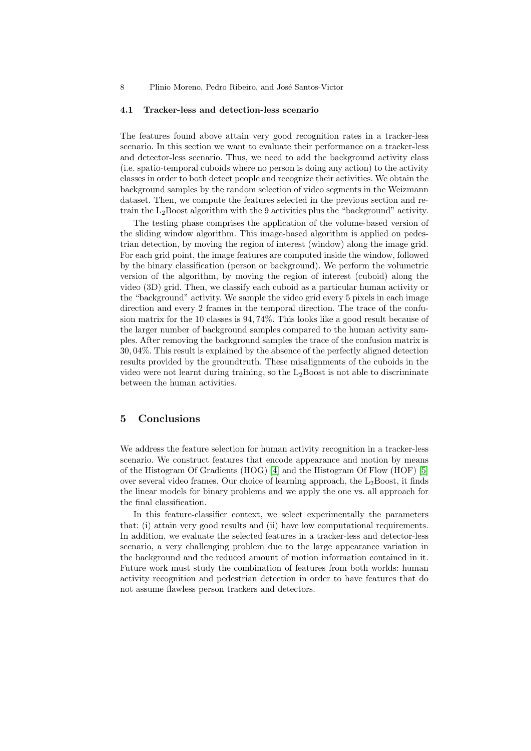#### 4.1 Tracker-less and detection-less scenario

The features found above attain very good recognition rates in a tracker-less scenario. In this section we want to evaluate their performance on a tracker-less and detector-less scenario. Thus, we need to add the background activity class (i.e. spatio-temporal cuboids where no person is doing any action) to the activity classes in order to both detect people and recognize their activities. We obtain the background samples by the random selection of video segments in the Weizmann dataset. Then, we compute the features selected in the previous section and retrain the  $L_2$ Boost algorithm with the 9 activities plus the "background" activity.

The testing phase comprises the application of the volume-based version of the sliding window algorithm. This image-based algorithm is applied on pedestrian detection, by moving the region of interest (window) along the image grid. For each grid point, the image features are computed inside the window, followed by the binary classification (person or background). We perform the volumetric version of the algorithm, by moving the region of interest (cuboid) along the video (3D) grid. Then, we classify each cuboid as a particular human activity or the "background" activity. We sample the video grid every 5 pixels in each image direction and every 2 frames in the temporal direction. The trace of the confusion matrix for the 10 classes is 94, 74%. This looks like a good result because of the larger number of background samples compared to the human activity samples. After removing the background samples the trace of the confusion matrix is 30, 04%. This result is explained by the absence of the perfectly aligned detection results provided by the groundtruth. These misalignments of the cuboids in the video were not learnt during training, so the  $L_2$ Boost is not able to discriminate between the human activities.

## 5 Conclusions

We address the feature selection for human activity recognition in a tracker-less scenario. We construct features that encode appearance and motion by means of the Histogram Of Gradients (HOG) [\[4\]](#page-8-8) and the Histogram Of Flow (HOF) [\[5\]](#page-8-9) over several video frames. Our choice of learning approach, the  $L_2$ Boost, it finds the linear models for binary problems and we apply the one vs. all approach for the final classification.

In this feature-classifier context, we select experimentally the parameters that: (i) attain very good results and (ii) have low computational requirements. In addition, we evaluate the selected features in a tracker-less and detector-less scenario, a very challenging problem due to the large appearance variation in the background and the reduced amount of motion information contained in it. Future work must study the combination of features from both worlds: human activity recognition and pedestrian detection in order to have features that do not assume flawless person trackers and detectors.